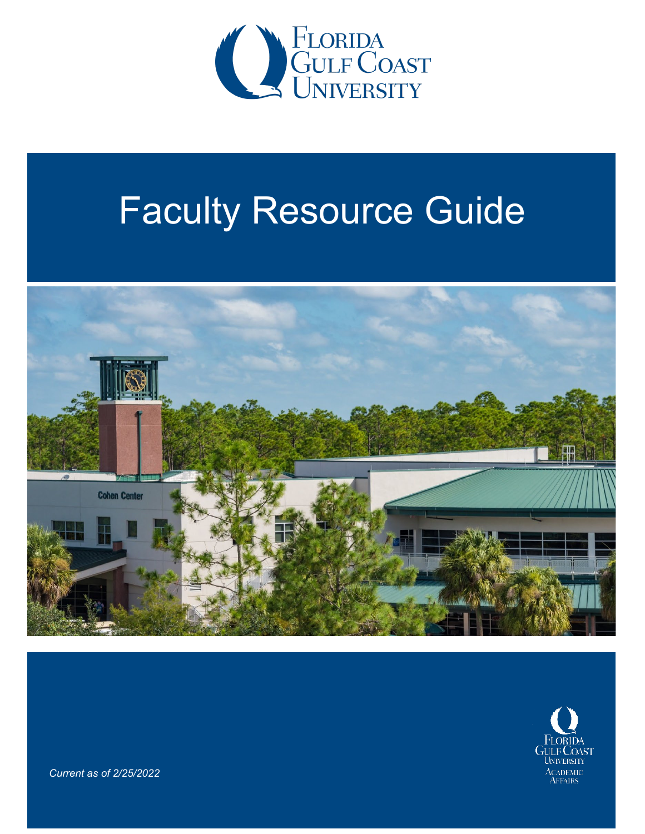

# Faculty Resource Guide





*Current as of 2/25/2022*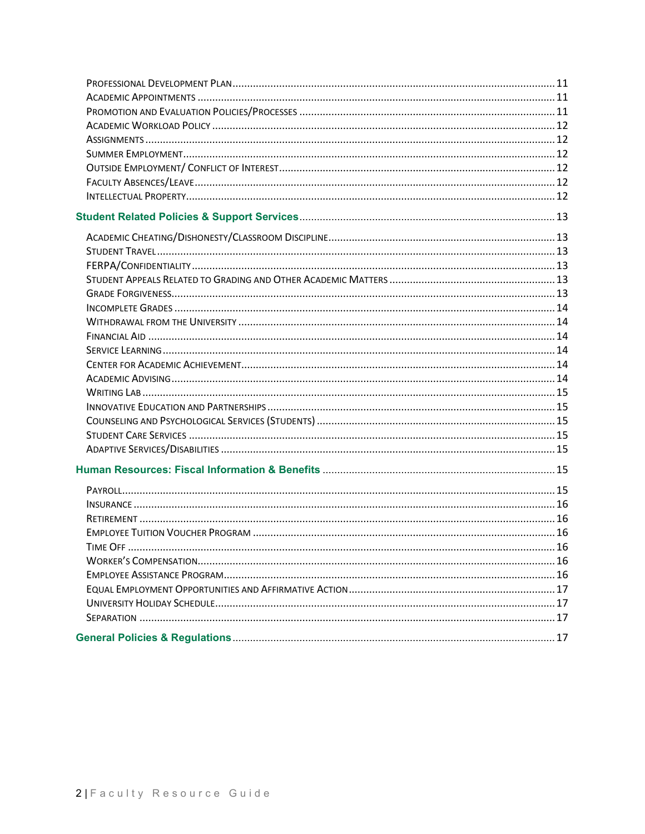<span id="page-2-0"></span>

| $\sim$ 16<br>TIME OFF |  |
|-----------------------|--|
|                       |  |
|                       |  |
|                       |  |
|                       |  |
|                       |  |
|                       |  |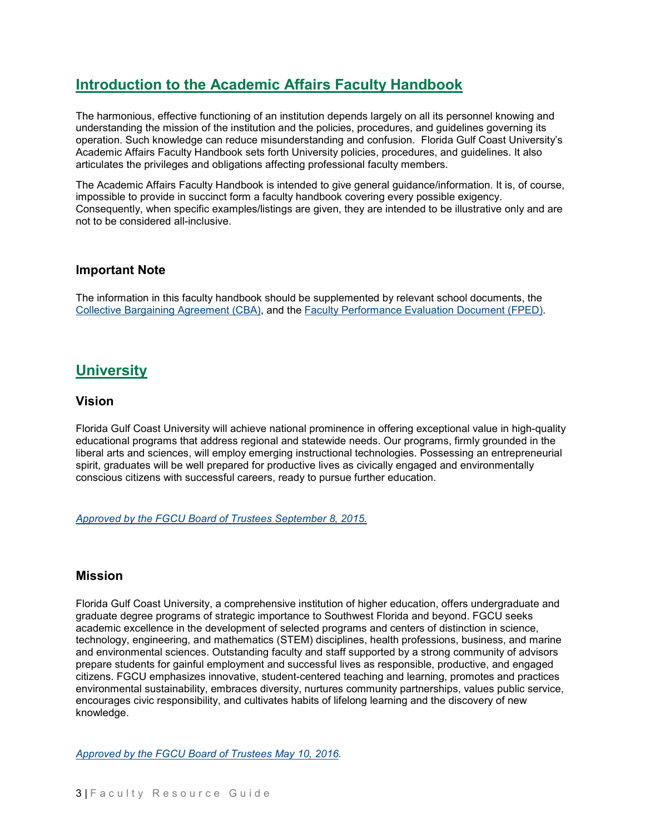# **Introduction to the Academic Affairs Faculty Handbook**

The harmonious, effective functioning of an institution depends largely on all its personnel knowing and understanding the mission of the institution and the policies, procedures, and guidelines governing its operation. Such knowledge can reduce misunderstanding and confusion. Florida Gulf Coast University's Academic Affairs Faculty Handbook sets forth University policies, procedures, and guidelines. It also articulates the privileges and obligations affecting professional faculty members.

The Academic Affairs Faculty Handbook is intended to give general guidance/information. It is, of course, impossible to provide in succinct form a faculty handbook covering every possible exigency. Consequently, when specific examples/listings are given, they are intended to be illustrative only and are not to be considered all-inclusive.

#### <span id="page-3-0"></span>**Important Note**

The information in this faculty handbook should be supplemented by relevant school documents, the Collective Bargaining [Agreement](https://www.fgcu.edu/about/leadership/officeoftheprovost/files/cba/cba-2018-21-ada.pdf) (CBA), and the Faculty [Performance](https://www.fgcu.edu/about/leadership/officeoftheprovost/files/FPED_Approved_05.26.2021.pdf) Evaluation Document (FPED).

## <span id="page-3-2"></span><span id="page-3-1"></span>**University**

#### **Vision**

Florida Gulf Coast University will achieve national prominence in offering exceptional value in high-quality educational programs that address regional and statewide needs. Our programs, firmly grounded in the liberal arts and sciences, will employ emerging instructional technologies. Possessing an entrepreneurial spirit, graduates will be well prepared for productive lives as civically engaged and environmentally conscious citizens with successful careers, ready to pursue further education.

*[Approved by the FGCU Board of Trustees September 8, 2015.](https://www.fgcu.edu/about/)*

#### <span id="page-3-3"></span>**Mission**

Florida Gulf Coast University, a comprehensive institution of higher education, offers undergraduate and graduate degree programs of strategic importance to Southwest Florida and beyond. FGCU seeks academic excellence in the development of selected programs and centers of distinction in science, technology, engineering, and mathematics (STEM) disciplines, health professions, business, and marine and environmental sciences. Outstanding faculty and staff supported by a strong community of advisors prepare students for gainful employment and successful lives as responsible, productive, and engaged citizens. FGCU emphasizes innovative, student-centered teaching and learning, promotes and practices environmental sustainability, embraces diversity, nurtures community partnerships, values public service, encourages civic responsibility, and cultivates habits of lifelong learning and the discovery of new knowledge.

*[Approved by the FGCU Board of Trustees May 10, 2016.](https://www.fgcu.edu/about/#Mission)*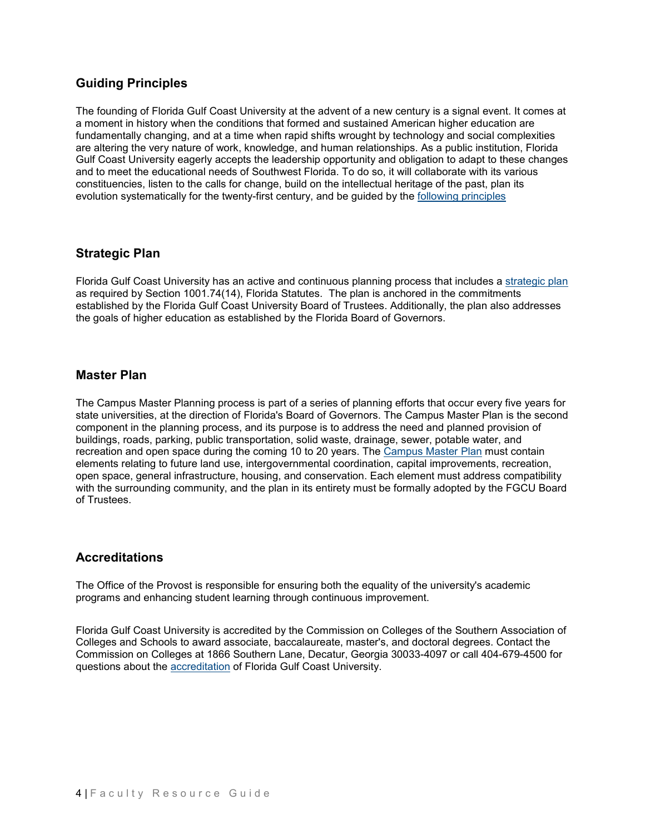## <span id="page-4-0"></span>**Guiding Principles**

The founding of Florida Gulf Coast University at the advent of a new century is a signal event. It comes at a moment in history when the conditions that formed and sustained American higher education are fundamentally changing, and at a time when rapid shifts wrought by technology and social complexities are altering the very nature of work, knowledge, and human relationships. As a public institution, Florida Gulf Coast University eagerly accepts the leadership opportunity and obligation to adapt to these changes and to meet the educational needs of Southwest Florida. To do so, it will collaborate with its various constituencies, listen to the calls for change, build on the intellectual heritage of the past, plan its evolution systematically for the twenty-first century, and be guided by the [following principles](https://www.fgcu.edu/about/#GuidingPrinciples)

## <span id="page-4-1"></span>**Strategic Plan**

Florida Gulf Coast University has an active and continuous planning process that includes a [strategic plan](https://www.fgcu.edu/about/) as required by Section 1001.74(14), Florida Statutes. The plan is anchored in the commitments established by the Florida Gulf Coast University Board of Trustees. Additionally, the plan also addresses the goals of higher education as established by the Florida Board of Governors.

#### <span id="page-4-2"></span>**Master Plan**

The Campus Master Planning process is part of a series of planning efforts that occur every five years for state universities, at the direction of Florida's Board of Governors. The Campus Master Plan is the second component in the planning process, and its purpose is to address the need and planned provision of buildings, roads, parking, public transportation, solid waste, drainage, sewer, potable water, and recreation and open space during the coming 10 to 20 years. The [Campus Master Plan](https://www.fgcu.edu/adminservices/facilities/campusmasterplan) must contain elements relating to future land use, intergovernmental coordination, capital improvements, recreation, open space, general infrastructure, housing, and conservation. Each element must address compatibility with the surrounding community, and the plan in its entirety must be formally adopted by the FGCU Board of Trustees.

#### <span id="page-4-3"></span>**Accreditations**

The Office of the Provost is responsible for ensuring both the equality of the university's academic programs and enhancing student learning through continuous improvement.

<span id="page-4-4"></span>Florida Gulf Coast University is accredited by the Commission on Colleges of the Southern Association of Colleges and Schools to award associate, baccalaureate, master's, and doctoral degrees. Contact the Commission on Colleges at 1866 Southern Lane, Decatur, Georgia 30033-4097 or call 404-679-4500 for questions about the [accreditation](https://www.fgcu.edu/about/accreditation) of Florida Gulf Coast University.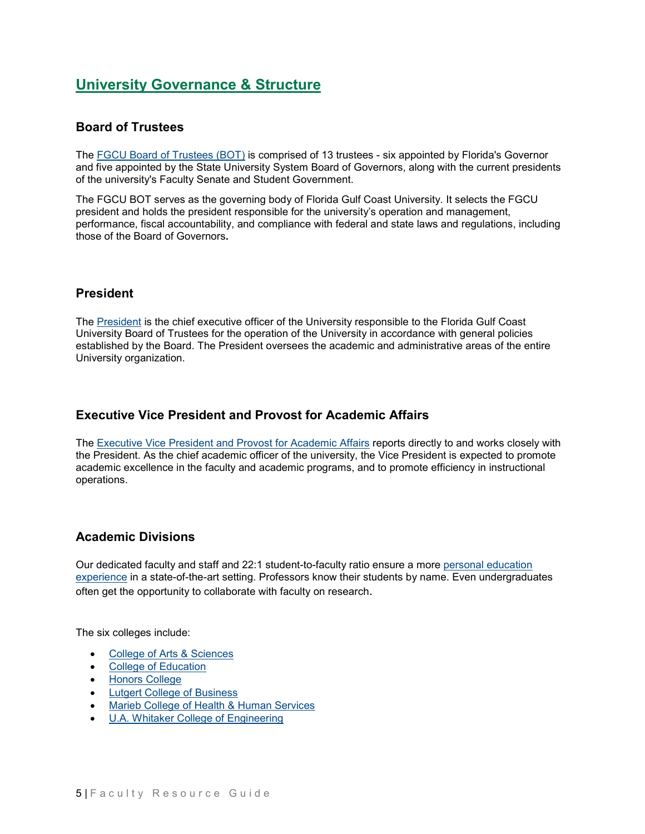# **University Governance & Structure**

## <span id="page-5-0"></span>**Board of Trustees**

The [FGCU Board of Trustees \(BOT\)](https://www.fgcu.edu/about/leadership/fgcuboardoftrustees/) is comprised of 13 trustees - six appointed by Florida's Governor and five appointed by the State University System Board of Governors, along with the current presidents of the university's Faculty Senate and Student Government.

The FGCU BOT serves as the governing body of Florida Gulf Coast University. It selects the FGCU president and holds the president responsible for the university's operation and management, performance, fiscal accountability, and compliance with federal and state laws and regulations, including those of the Board of Governors**.**

## <span id="page-5-1"></span>**President**

The [President](https://www.fgcu.edu/about/leadership/officeofthepresident/) is the chief executive officer of the University responsible to the Florida Gulf Coast University Board of Trustees for the operation of the University in accordance with general policies established by the Board. The President oversees the academic and administrative areas of the entire University organization.

## <span id="page-5-2"></span>**Executive Vice President and Provost for Academic Affairs**

The [Executive Vice President and Provost for Academic Affairs](https://www.fgcu.edu/about/leadership/officeoftheprovost/) reports directly to and works closely with the President. As the chief academic officer of the university, the Vice President is expected to promote academic excellence in the faculty and academic programs, and to promote efficiency in instructional operations.

## <span id="page-5-3"></span>**Academic Divisions**

Our dedicated faculty and staff and 22:1 student-to-faculty ratio ensure a more [personal education](https://www.fgcu.edu/academics/)  [experience](https://www.fgcu.edu/academics/) in a state-of-the-art setting. Professors know their students by name. Even undergraduates often get the opportunity to collaborate with faculty on research.

The six colleges include:

- [College of Arts & Sciences](https://www.fgcu.edu/cas/)
- [College of Education](https://www.fgcu.edu/coe/)
- [Honors College](https://www.fgcu.edu/honors/)
- Lutgert [College of Business](https://www.fgcu.edu/cob/)
- [Marieb College of Health & Human Services](https://www.fgcu.edu/mariebcollege/)
- [U.A. Whitaker College of Engineering](https://www.fgcu.edu/eng/)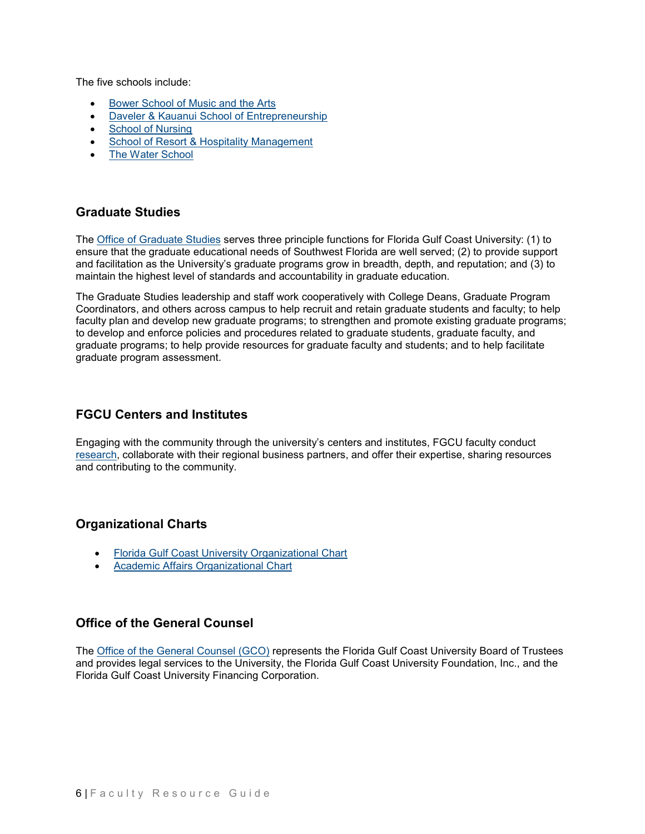The five schools include:

- [Bower School of Music and the Arts](https://www.fgcu.edu/cas/bsma/)
- [Daveler & Kauanui School of Entrepreneurship](https://www.fgcu.edu/soe/)
- [School of Nursing](https://www.fgcu.edu/mariebcollege/nursing/)
- **[School of Resort & Hospitality Management](https://www.fgcu.edu/cob/srhm/)**
- [The Water School](https://www.fgcu.edu/thewaterschool/)

## <span id="page-6-0"></span>**Graduate Studies**

The [Office of Graduate Studies](https://www.fgcu.edu/graduatestudies/) serves three principle functions for Florida Gulf Coast University: (1) to ensure that the graduate educational needs of Southwest Florida are well served; (2) to provide support and facilitation as the University's graduate programs grow in breadth, depth, and reputation; and (3) to maintain the highest level of standards and accountability in graduate education.

The Graduate Studies leadership and staff work cooperatively with College Deans, Graduate Program Coordinators, and others across campus to help recruit and retain graduate students and faculty; to help faculty plan and develop new graduate programs; to strengthen and promote existing graduate programs; to develop and enforce policies and procedures related to graduate students, graduate faculty, and graduate programs; to help provide resources for graduate faculty and students; and to help facilitate graduate program assessment.

## <span id="page-6-1"></span>**FGCU Centers and Institutes**

Engaging with the community through the university's centers and institutes, FGCU faculty conduct [research,](https://www.fgcu.edu/academics/research/) collaborate with their regional business partners, and offer their expertise, sharing resources and contributing to the community.

#### <span id="page-6-2"></span>**Organizational Charts**

- [Florida Gulf Coast University](https://www.fgcu.edu/about/leadership/officeofthepresident/resources#FGCUSummaryofOrganizationFunctions) Organizational Chart
- [Academic Affairs Organizational Chart](https://www.fgcu.edu/about/leadership/officeoftheprovost/files/Org_Chart_2022_2.2.22.pdf)

## <span id="page-6-3"></span>**Office of the General Counsel**

<span id="page-6-4"></span>The [Office of the General Counsel \(GCO\)](https://www.fgcu.edu/generalcounsel/) represents the Florida Gulf Coast University Board of Trustees and provides legal services to the University, the Florida Gulf Coast University Foundation, Inc., and the Florida Gulf Coast University Financing Corporation.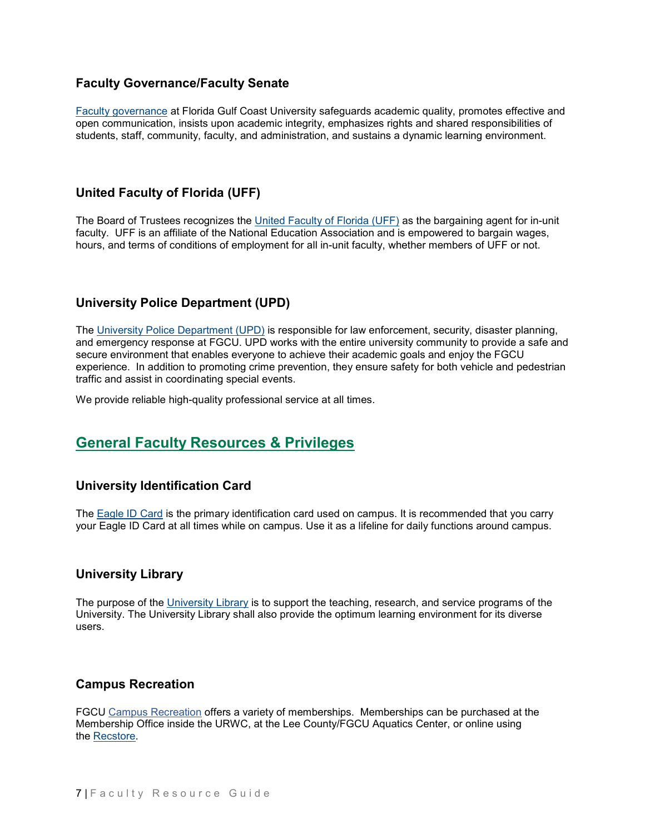## **Faculty Governance/Faculty Senate**

[Faculty governance](https://www.fgcu.edu/facultysenate/) at Florida Gulf Coast University safeguards academic quality, promotes effective and open communication, insists upon academic integrity, emphasizes rights and shared responsibilities of students, staff, community, faculty, and administration, and sustains a dynamic learning environment.

## <span id="page-7-0"></span>**United Faculty of Florida (UFF)**

The Board of Trustees recognizes the [United Faculty of Florida \(UFF\)](https://uff-fgcu.org/) as the bargaining agent for in-unit faculty. UFF is an affiliate of the National Education Association and is empowered to bargain wages, hours, and terms of conditions of employment for all in-unit faculty, whether members of UFF or not.

## <span id="page-7-1"></span>**University Police Department (UPD)**

The [University Police Department \(UPD\)](https://www.fgcu.edu/upd/) is responsible for law enforcement, security, disaster planning, and emergency response at FGCU. UPD works with the entire university community to provide a safe and secure environment that enables everyone to achieve their academic goals and enjoy the FGCU experience. In addition to promoting crime prevention, they ensure safety for both vehicle and pedestrian traffic and assist in coordinating special events.

We provide reliable high-quality professional service at all times.

# <span id="page-7-2"></span>**General Faculty Resources & Privileges**

#### <span id="page-7-3"></span>**University Identification Card**

The [Eagle ID Card](https://www.fgcu.edu/adminservices/business-services/eagleidcard/get-your-id-card) is the primary identification card used on campus. It is recommended that you carry your Eagle ID Card at all times while on campus. Use it as a lifeline for daily functions around campus.

#### <span id="page-7-4"></span>**University Library**

The purpose of the [University Library](https://library.fgcu.edu/) is to support the teaching, research, and service programs of the University. The University Library shall also provide the optimum learning environment for its diverse users.

#### <span id="page-7-5"></span>**Campus Recreation**

FGCU [Campus Recreation](https://www.fgcu.edu/studentlife/campusrec/) offers a variety of memberships. Memberships can be purchased at the Membership Office inside the URWC, at the Lee County/FGCU Aquatics Center, or online using the [Recstore.](https://recstore.fgcu.edu/)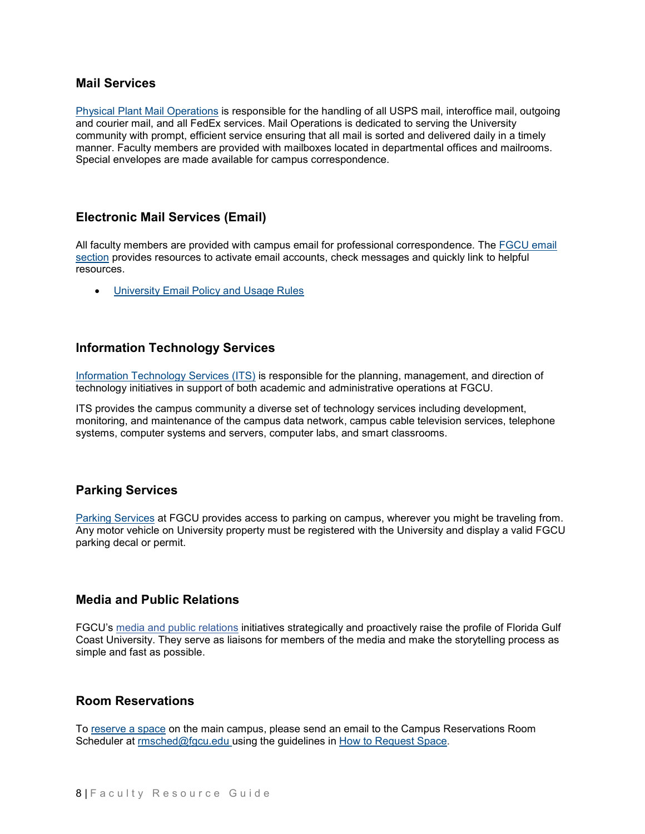#### <span id="page-8-0"></span>**Mail Services**

[Physical Plant Mail Operations](https://www.fgcu.edu/adminservices/physicalplant/mail-operations) is responsible for the handling of all USPS mail, interoffice mail, outgoing and courier mail, and all FedEx services. Mail Operations is dedicated to serving the University community with prompt, efficient service ensuring that all mail is sorted and delivered daily in a timely manner. Faculty members are provided with mailboxes located in departmental offices and mailrooms. Special envelopes are made available for campus correspondence.

## <span id="page-8-1"></span>**Electronic Mail Services (Email)**

All faculty members are provided with campus email for professional correspondence. The [FGCU email](https://www.fgcu.edu/email/)  [section](https://www.fgcu.edu/email/) provides resources to activate email accounts, check messages and quickly link to helpful resources.

• [University Email Policy and Usage Rules](https://www.fgcu.edu/generalcounsel/policies/approved/policy3.021.pdf)

#### <span id="page-8-2"></span>**Information Technology Services**

[Information Technology Services \(ITS\)](https://www.fgcu.edu/its/) is responsible for the planning, management, and direction of technology initiatives in support of both academic and administrative operations at FGCU.

ITS provides the campus community a diverse set of technology services including development, monitoring, and maintenance of the campus data network, campus cable television services, telephone systems, computer systems and servers, computer labs, and smart classrooms.

#### <span id="page-8-3"></span>**Parking Services**

[Parking Services](https://www.fgcu.edu/parkingservices/) at FGCU provides access to parking on campus, wherever you might be traveling from. Any motor vehicle on University property must be registered with the University and display a valid FGCU parking decal or permit.

#### <span id="page-8-4"></span>**Media and Public Relations**

FGCU's [media and public relations](https://www.fgcu.edu/advancement/universitymarketing/portfolio/mediarelations) initiatives strategically and proactively raise the profile of Florida Gulf Coast University. They serve as liaisons for members of the media and make the storytelling process as simple and fast as possible.

#### <span id="page-8-5"></span>**Room Reservations**

To [reserve a space](https://www.fgcu.edu/campusreservations/reserve) on the main campus, please send an email to the Campus Reservations Room Scheduler at [rmsched@fgcu.edu](mailto:rmsched@fgcu.edu) using the guidelines in [How to Request Space.](https://www.fgcu.edu/campusreservations/files/HowToRequestSpacepdf.pdf)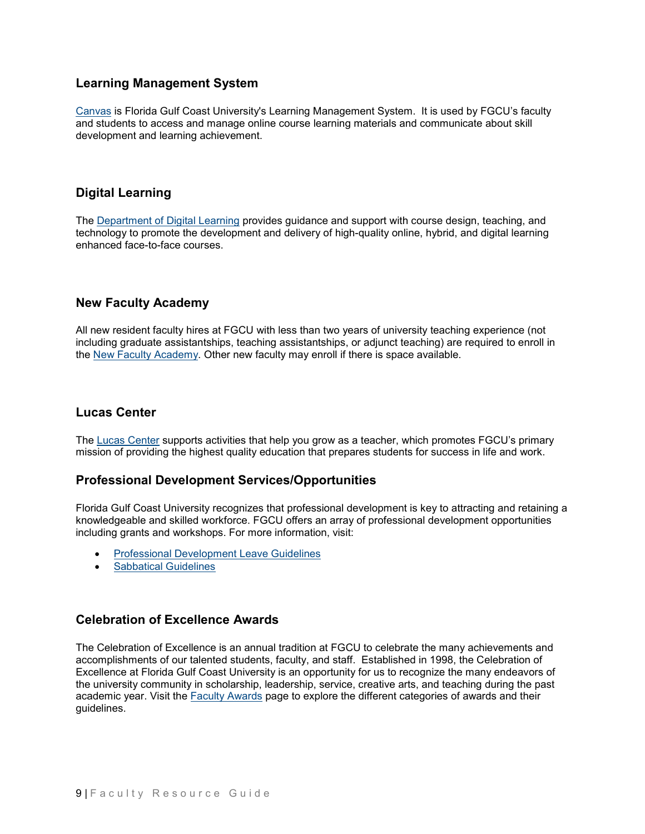## <span id="page-9-0"></span>**Learning Management System**

[Canvas](https://www.fgcu.edu/canvas/) is Florida Gulf Coast University's Learning Management System. It is used by FGCU's faculty and students to access and manage online course learning materials and communicate about skill development and learning achievement.

## <span id="page-9-1"></span>**Digital Learning**

The [Department of Digital Learning](https://www.fgcu.edu/digitallearning/) provides guidance and support with course design, teaching, and technology to promote the development and delivery of high-quality online, hybrid, and digital learning enhanced face-to-face courses.

## <span id="page-9-2"></span>**New Faculty Academy**

All new resident faculty hires at FGCU with less than two years of university teaching experience (not including graduate assistantships, teaching assistantships, or adjunct teaching) are required to enroll in the [New Faculty Academy.](https://www.fgcu.edu/lucascenter/new-faculty#NewFacultyAcademy) Other new faculty may enroll if there is space available.

## <span id="page-9-3"></span>**Lucas Center**

The [Lucas Center](https://www.fgcu.edu/lucascenter/) supports activities that help you grow as a teacher, which promotes FGCU's primary mission of providing the highest quality education that prepares students for success in life and work.

#### <span id="page-9-4"></span>**Professional Development Services/Opportunities**

Florida Gulf Coast University recognizes that professional development is key to attracting and retaining a knowledgeable and skilled workforce. FGCU offers an array of professional development opportunities including grants and workshops. For more information, visit:

- [Professional Development Leave Guidelines](https://www.fgcu.edu/facultysenate/files/Professional_Development_Leave_Guidelines_9.14.2018.pdf)
- [Sabbatical Guidelines](https://www.fgcu.edu/facultysenate/files/AdoptedSabbaticalGuidelinesFS03.29.19.pdf)

#### <span id="page-9-5"></span>**Celebration of Excellence Awards**

<span id="page-9-6"></span>The Celebration of Excellence is an annual tradition at FGCU to celebrate the many achievements and accomplishments of our talented students, faculty, and staff. Established in 1998, the Celebration of Excellence at Florida Gulf Coast University is an opportunity for us to recognize the many endeavors of the university community in scholarship, leadership, service, creative arts, and teaching during the past academic year. Visit the [Faculty Awards](https://www.fgcu.edu/facultysenate/awards/) page to explore the different categories of awards and their guidelines.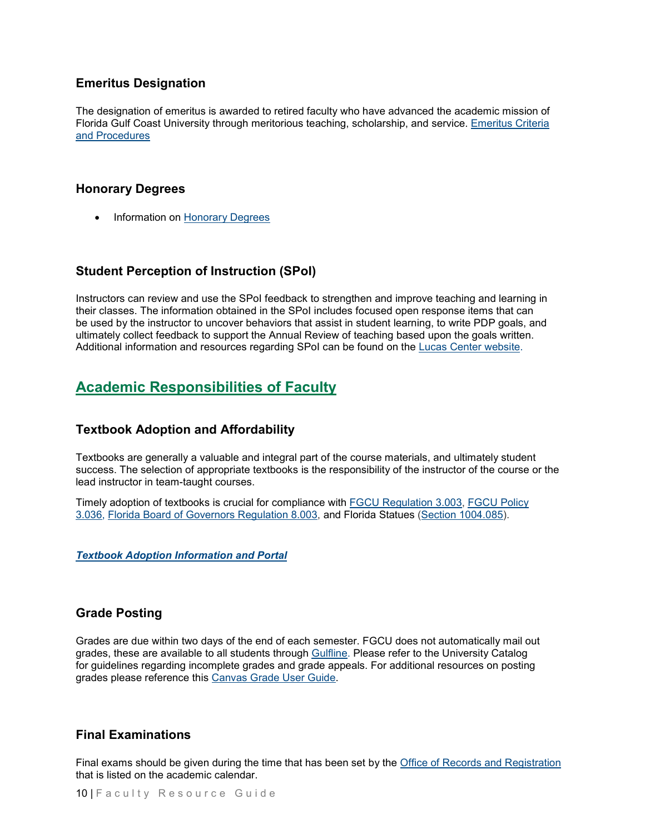## **Emeritus Designation**

The designation of emeritus is awarded to retired faculty who have advanced the academic mission of Florida Gulf Coast University through meritorious teaching, scholarship, and service. [Emeritus Criteria](https://www.fgcu.edu/about/leadership/officeoftheprovost/files/emeritus-faculty-final-approved-version-Approved-11-5-08-ada.pdf)  [and Procedures](https://www.fgcu.edu/about/leadership/officeoftheprovost/files/emeritus-faculty-final-approved-version-Approved-11-5-08-ada.pdf)

## <span id="page-10-0"></span>**Honorary Degrees**

• Information on [Honorary Degrees](https://www.fgcu.edu/generalcounsel/regulations/approved/regulation3.002.pdf)

## <span id="page-10-1"></span>**Student Perception of Instruction (SPoI)**

Instructors can review and use the SPoI feedback to strengthen and improve teaching and learning in their classes. The information obtained in the SPoI includes focused open response items that can be used by the instructor to uncover behaviors that assist in student learning, to write PDP goals, and ultimately collect feedback to support the Annual Review of teaching based upon the goals written. Additional information and resources regarding SPoI can be found on the [Lucas Center website.](https://www.fgcu.edu/lucascenter/spoi)

# <span id="page-10-2"></span>**Academic Responsibilities of Faculty**

## <span id="page-10-3"></span>**Textbook Adoption and Affordability**

Textbooks are generally a valuable and integral part of the course materials, and ultimately student success. The selection of appropriate textbooks is the responsibility of the instructor of the course or the lead instructor in team-taught courses.

Timely adoption of textbooks is crucial for compliance with [FGCU Regulation 3.003,](https://www.fgcu.edu/generalcounsel/regulations/approved/regulation3.003.pdf) [FGCU Policy](https://www.fgcu.edu/generalcounsel/policies/approved/policy3.036.pdf)  [3.036,](https://www.fgcu.edu/generalcounsel/policies/approved/policy3.036.pdf) [Florida Board of Governors Regulation 8.003,](http://www.leg.state.fl.us/statutes/index.cfm?App_mode=Display_Statute&URL=1000-1099/1004/Sections/1004.085.html) and Florida Statues [\(Section 1004.085\)](http://www.leg.state.fl.us/statutes/index.cfm?App_mode=Display_Statute&URL=1000-1099/1004/Sections/1004.085.html).

*[Textbook Adoption Information and Portal](https://www.fgcu.edu/adminservices/business-services/bookstore/textbookadoption)*

## <span id="page-10-4"></span>**Grade Posting**

Grades are due within two days of the end of each semester. FGCU does not automatically mail out grades, these are available to all students through [Gulfline.](https://www.fgcu.edu/gulfline/) Please refer to the University Catalog for guidelines regarding incomplete grades and grade appeals. For additional resources on posting grades please reference this [Canvas Grade User Guide.](https://fgcu.zendesk.com/hc/en-us/articles/360061460891-Canvas-Submit-Grades-User-Guide)

## <span id="page-10-5"></span>**Final Examinations**

Final exams should be given during the time that has been set by the [Office of Records and Registration](https://www.fgcu.edu/recordsandregistration/registrationresources/#FinalExams) that is listed on the academic calendar.

10 | Faculty Resource Guide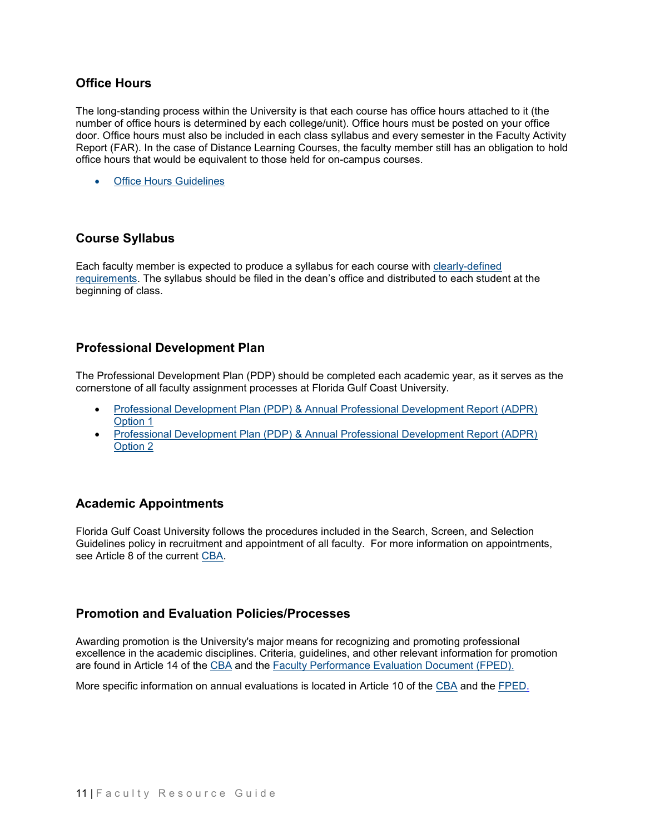## <span id="page-11-0"></span>**Office Hours**

The long-standing process within the University is that each course has office hours attached to it (the number of office hours is determined by each college/unit). Office hours must be posted on your office door. Office hours must also be included in each class syllabus and every semester in the Faculty Activity Report (FAR). In the case of Distance Learning Courses, the faculty member still has an obligation to hold office hours that would be equivalent to those held for on-campus courses.

• [Office Hours Guidelines](https://www.fgcu.edu/about/leadership/officeoftheprovost/officehoursguideline)

## <span id="page-11-1"></span>**Course Syllabus**

Each faculty member is expected to produce a syllabus for each course with [clearly-defined](https://www.fgcu.edu/about/leadership/officeoftheprovost/files/Syllabus_Guidelines_approved_10.20.2020.pdf)  [requirements.](https://www.fgcu.edu/about/leadership/officeoftheprovost/files/Syllabus_Guidelines_approved_10.20.2020.pdf) The syllabus should be filed in the dean's office and distributed to each student at the beginning of class.

## <span id="page-11-2"></span>**Professional Development Plan**

The Professional Development Plan (PDP) should be completed each academic year, as it serves as the cornerstone of all faculty assignment processes at Florida Gulf Coast University.

- [Professional Development Plan \(PDP\) & Annual Professional Development Report \(ADPR\)](https://www.fgcu.edu/about/leadership/officeoftheprovost/files/PDP__APDR_Option_1_approved_2.7.17.pdf) [Option 1](https://www.fgcu.edu/about/leadership/officeoftheprovost/files/PDP__APDR_Option_1_approved_2.7.17.pdf)
- Professional Development Plan (PDP) & Annual Professional Development Report (ADPR) [Option 2](https://www.fgcu.edu/about/leadership/officeoftheprovost/files/PDP_APDR_Option_2-Approved_2.7.17.pdf)

## <span id="page-11-3"></span>**Academic Appointments**

Florida Gulf Coast University follows the procedures included in the Search, Screen, and Selection Guidelines policy in recruitment and appointment of all faculty. For more information on appointments, see Article 8 of the current [CBA.](https://www.fgcu.edu/about/leadership/officeoftheprovost/files/cba/cba-2018-21-ada.pdf)

#### <span id="page-11-4"></span>**Promotion and Evaluation Policies/Processes**

Awarding promotion is the University's major means for recognizing and promoting professional excellence in the academic disciplines. Criteria, guidelines, and other relevant information for promotion are found in Article 14 of the [CBA](https://www.fgcu.edu/about/leadership/officeoftheprovost/files/cba/cba-2018-21-ada.pdf) and the [Faculty Performance Evaluation Document](https://www.fgcu.edu/about/leadership/officeoftheprovost/files/FPED_Approved_05.26.2021_.pdf) (FPED).

<span id="page-11-5"></span>More specific information on annual evaluations is located in Article 10 of the [CBA](https://www.fgcu.edu/about/leadership/officeoftheprovost/files/cba/cba-2018-21-ada.pdf) and the [FPED.](https://www.fgcu.edu/about/leadership/officeoftheprovost/files/FPED_Approved_05.26.2021_.pdf)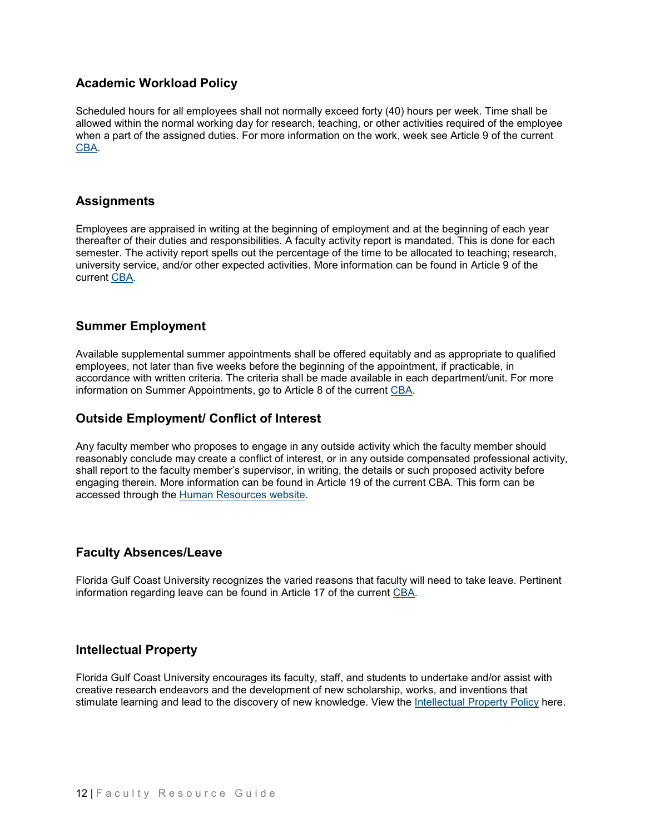## **Academic Workload Policy**

Scheduled hours for all employees shall not normally exceed forty (40) hours per week. Time shall be allowed within the normal working day for research, teaching, or other activities required of the employee when a part of the assigned duties. For more information on the work, week see Article 9 of the current [CBA.](https://www.fgcu.edu/about/leadership/officeoftheprovost/files/cba/cba-2018-21-ada.pdf)

#### <span id="page-12-0"></span>**Assignments**

Employees are appraised in writing at the beginning of employment and at the beginning of each year thereafter of their duties and responsibilities. A faculty activity report is mandated. This is done for each semester. The activity report spells out the percentage of the time to be allocated to teaching; research, university service, and/or other expected activities. More information can be found in Article 9 of the current [CBA.](https://www.fgcu.edu/about/leadership/officeoftheprovost/files/cba/cba-2018-21-ada.pdf)

#### <span id="page-12-1"></span>**Summer Employment**

Available supplemental summer appointments shall be offered equitably and as appropriate to qualified employees, not later than five weeks before the beginning of the appointment, if practicable, in accordance with written criteria. The criteria shall be made available in each department/unit. For more information on Summer Appointments, go to Article 8 of the current [CBA.](https://www.fgcu.edu/about/leadership/officeoftheprovost/files/cba/cba-2018-21-ada.pdf)

#### <span id="page-12-2"></span>**Outside Employment/ Conflict of Interest**

Any faculty member who proposes to engage in any outside activity which the faculty member should reasonably conclude may create a conflict of interest, or in any outside compensated professional activity, shall report to the faculty member's supervisor, in writing, the details or such proposed activity before engaging therein. More information can be found in Article 19 of the current CBA. This form can be accessed through the [Human Resources website.](https://www.fgcu.edu/hr/files/resources/Outside_Employment-Activity_Approval_Request.pdf)

#### <span id="page-12-3"></span>**Faculty Absences/Leave**

Florida Gulf Coast University recognizes the varied reasons that faculty will need to take leave. Pertinent information regarding leave can be found in Article 17 of the current [CBA.](https://www.fgcu.edu/about/leadership/officeoftheprovost/files/cba/cba-2018-21-ada.pdf)

#### <span id="page-12-4"></span>**Intellectual Property**

<span id="page-12-5"></span>Florida Gulf Coast University encourages its faculty, staff, and students to undertake and/or assist with creative research endeavors and the development of new scholarship, works, and inventions that stimulate learning and lead to the discovery of new knowledge. View the [Intellectual Property Policy](https://www.fgcu.edu/generalcounsel/policies/approved/policy2.002.pdf) here.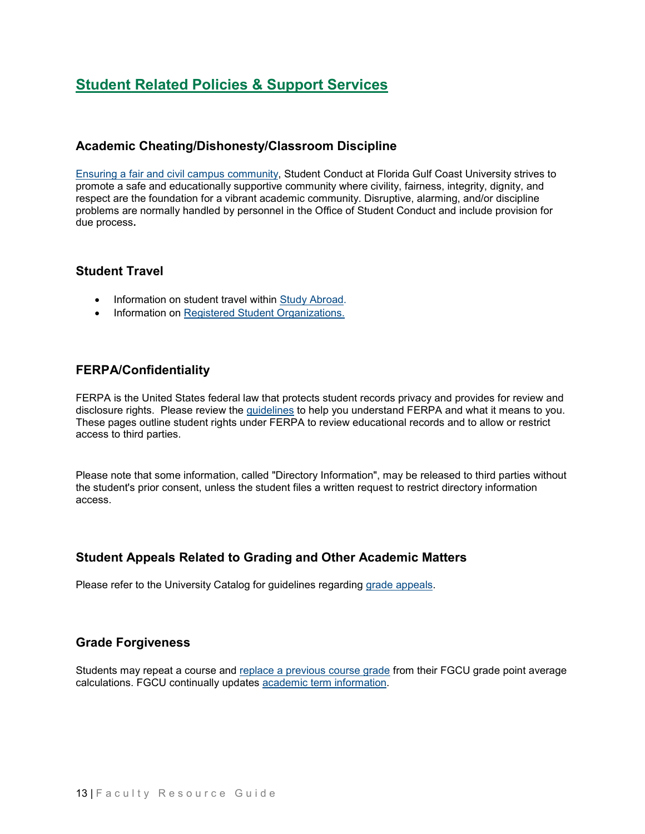# **Student Related Policies & Support Services**

## <span id="page-13-0"></span>**Academic Cheating/Dishonesty/Classroom Discipline**

[Ensuring a fair and civil campus community,](https://www.fgcu.edu/generalcounsel/regulations/approved/regulation4.002.pdf) Student Conduct at Florida Gulf Coast University strives to promote a safe and educationally supportive community where civility, fairness, integrity, dignity, and respect are the foundation for a vibrant academic community. Disruptive, alarming, and/or discipline problems are normally handled by personnel in the Office of Student Conduct and include provision for due process**.**

## <span id="page-13-1"></span>**Student Travel**

- Information on student travel within [Study Abroad.](https://www.fgcu.edu/academics/studyabroad/)
- Information on [Registered Student Organizations.](https://getinvolved.fgcu.edu/organizations?categories=14604)

## <span id="page-13-2"></span>**FERPA/Confidentiality**

FERPA is the United States federal law that protects student records privacy and provides for review and disclosure rights. Please review the [guidelines](https://www.fgcu.edu/recordsandregistration/guidelines/ferpa/) to help you understand FERPA and what it means to you. These pages outline student rights under FERPA to review educational records and to allow or restrict access to third parties.

Please note that some information, called "Directory Information", may be released to third parties without the student's prior consent, unless the student files a written request to restrict directory information access.

## <span id="page-13-3"></span>**Student Appeals Related to Grading and Other Academic Matters**

Please refer to the University Catalog for guidelines regarding [grade appeals.](https://www.fgcu.edu/catalog/generalinformation?fmid=Records+%26amp%3B+Registration#138)

## <span id="page-13-4"></span>**Grade Forgiveness**

<span id="page-13-5"></span>Students may repeat a course and replace [a previous course grade](https://www.fgcu.edu/coe/student-resources/files/GradeForgiveDraft_7-6-16.pdf) from their FGCU grade point average calculations. FGCU continually updates [academic term information.](https://www.fgcu.edu/academics/academiccalendar/)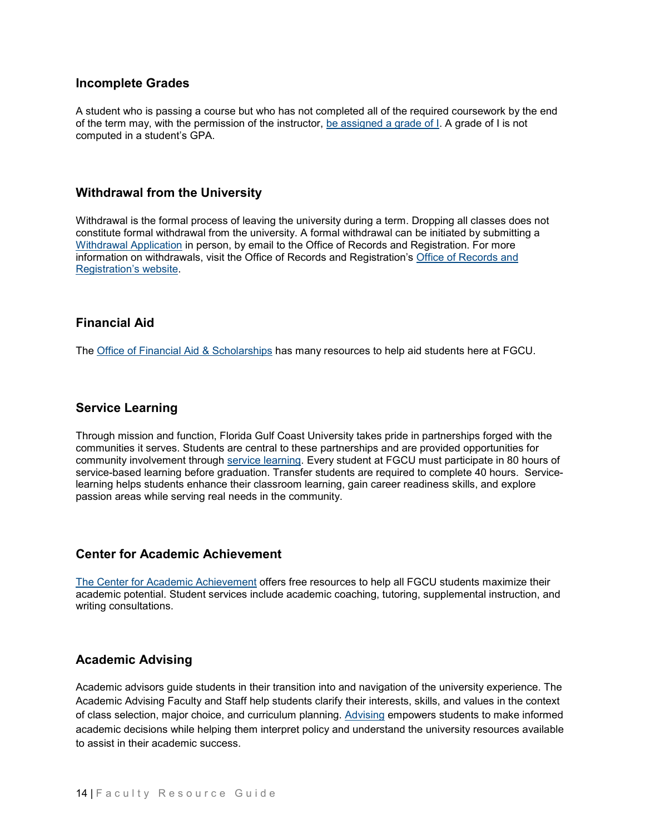#### **Incomplete Grades**

A student who is passing a course but who has not completed all of the required coursework by the end of the term may, with the permission of the instructor, [be assigned a grade of I.](https://www.fgcu.edu/cas/about/files/ORR-Incomplete-Grade-Aggrement-Form-editable.pdf) A grade of I is not computed in a student's GPA.

#### <span id="page-14-0"></span>**Withdrawal from the University**

Withdrawal is the formal process of leaving the university during a term. Dropping all classes does not constitute formal withdrawal from the university. A formal withdrawal can be initiated by submitting a [Withdrawal Application](https://www.fgcu.edu/recordsandregistration/files/forms/term-withdrawal-form_4-6-2021.pdf) in person, by email to the Office of Records and Registration. For more information on withdrawals, visit the Office of Records and Registration's [Office of Records and](https://www.fgcu.edu/recordsandregistration/guidelines/#withdrawal)  [Registration's website.](https://www.fgcu.edu/recordsandregistration/guidelines/#withdrawal)

#### <span id="page-14-1"></span>**Financial Aid**

The [Office of Financial Aid & Scholarships](https://www.fgcu.edu/admissionsandaid/financialaid/) has many resources to help aid students here at FGCU.

#### <span id="page-14-2"></span>**Service Learning**

Through mission and function, Florida Gulf Coast University takes pride in partnerships forged with the communities it serves. Students are central to these partnerships and are provided opportunities for community involvement through [service learning.](https://www.fgcu.edu/studentlife/servicelearning/) Every student at FGCU must participate in 80 hours of service-based learning before graduation. Transfer students are required to complete 40 hours. Servicelearning helps students enhance their classroom learning, gain career readiness skills, and explore passion areas while serving real needs in the community.

#### <span id="page-14-3"></span>**Center for Academic Achievement**

[The Center for Academic Achievement](https://www.fgcu.edu/academics/caa/) offers free resources to help all FGCU students maximize their academic potential. Student services include academic coaching, tutoring, supplemental instruction, and writing consultations.

## <span id="page-14-4"></span>**Academic Advising**

Academic advisors guide students in their transition into and navigation of the university experience. The Academic Advising Faculty and Staff help students clarify their interests, skills, and values in the context of class selection, major choice, and curriculum planning. [Advising](https://www.fgcu.edu/academics/advising/) empowers students to make informed academic decisions while helping them interpret policy and understand the university resources available to assist in their academic success.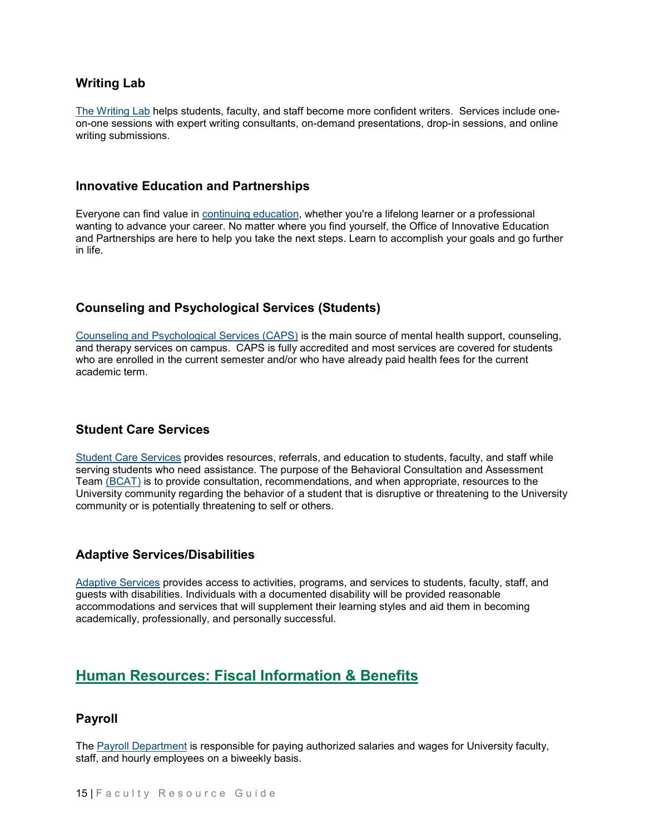## <span id="page-15-0"></span>**Writing Lab**

[The Writing Lab](https://www.fgcu.edu/academics/caa/writinglab/) helps students, faculty, and staff become more confident writers. Services include oneon-one sessions with expert writing consultants, on-demand presentations, drop-in sessions, and online writing submissions.

#### <span id="page-15-1"></span>**Innovative Education and Partnerships**

Everyone can find value in [continuing education,](https://www.fgcu.edu/academics/ced/) whether you're a lifelong learner or a professional wanting to advance your career. No matter where you find yourself, the Office of Innovative Education and Partnerships are here to help you take the next steps. Learn to accomplish your goals and go further in life.

## <span id="page-15-2"></span>**Counseling and Psychological Services (Students)**

[Counseling and Psychological Services \(CAPS\)](https://www.fgcu.edu/studentlife/healthandsafety/caps/) is the main source of mental health support, counseling, and therapy services on campus. CAPS is fully accredited and most services are covered for students who are enrolled in the current semester and/or who have already paid health fees for the current academic term.

#### <span id="page-15-3"></span>**Student Care Services**

[Student Care Services](https://www.fgcu.edu/studentlife/care/) provides resources, referrals, and education to students, faculty, and staff while serving students who need assistance. The purpose of the Behavioral Consultation and Assessment Team [\(BCAT\)](https://www.fgcu.edu/studentlife/care/teams) is to provide consultation, recommendations, and when appropriate, resources to the University community regarding the behavior of a student that is disruptive or threatening to the University community or is potentially threatening to self or others.

#### <span id="page-15-4"></span>**Adaptive Services/Disabilities**

[Adaptive Services](https://www.fgcu.edu/adaptive/) provides access to activities, programs, and services to students, faculty, staff, and guests with disabilities. Individuals with a documented disability will be provided reasonable accommodations and services that will supplement their learning styles and aid them in becoming academically, professionally, and personally successful.

# <span id="page-15-5"></span>**Human Resources: Fiscal Information & Benefits**

#### <span id="page-15-6"></span>**Payroll**

The [Payroll Department](https://www.fgcu.edu/adminservices/officeofthecontroller/finance/payroll/) is responsible for paying authorized salaries and wages for University faculty, staff, and hourly employees on a biweekly basis.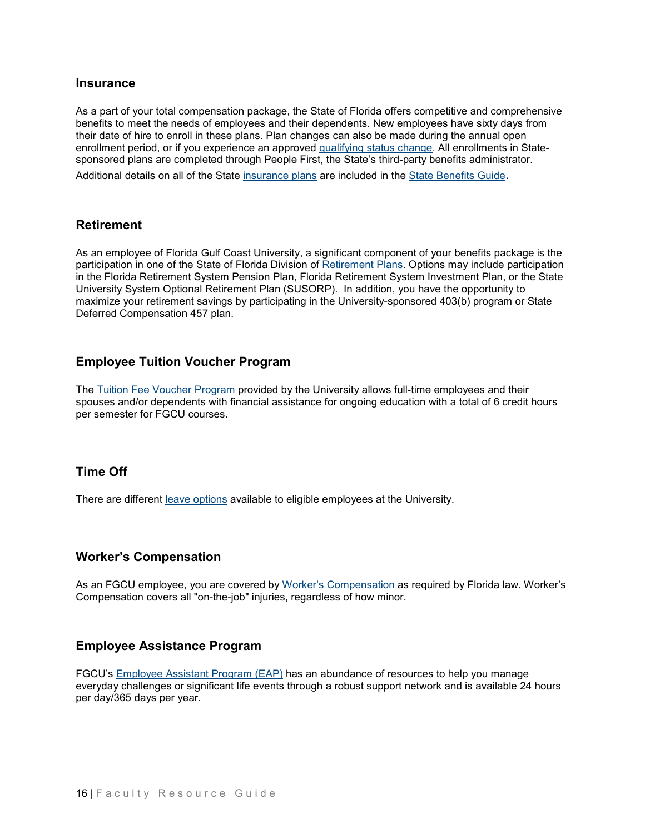#### <span id="page-16-0"></span>**Insurance**

As a part of your total compensation package, the State of Florida offers competitive and comprehensive benefits to meet the needs of employees and their dependents. New employees have sixty days from their date of hire to enroll in these plans. Plan changes can also be made during the annual open enrollment period, or if you experience an approved [qualifying status change.](https://www.mybenefits.myflorida.com/health/eligibility_and_enrollment/making_changes_to_your_plan/making_plan_changes_with_a_qualifying_status_change_qsc_event) All enrollments in Statesponsored plans are completed through People First, the State's third-party benefits administrator.

Additional details on all of the State [insurance plans](https://www.fgcu.edu/hr/benefits/insurance) are included in the [State Benefits Guide.](https://www.mybenefits.myflorida.com/health/benefits_guide)

#### <span id="page-16-1"></span>**Retirement**

As an employee of Florida Gulf Coast University, a significant component of your benefits package is the participation in one of the State of Florida Division of [Retirement Plans.](https://www.fgcu.edu/hr/benefits/retirement) Options may include participation in the Florida Retirement System Pension Plan, Florida Retirement System Investment Plan, or the State University System Optional Retirement Plan (SUSORP). In addition, you have the opportunity to maximize your retirement savings by participating in the University-sponsored 403(b) program or State Deferred Compensation 457 plan.

#### <span id="page-16-2"></span>**Employee Tuition Voucher Program**

The [Tuition Fee Voucher Program](https://www.fgcu.edu/hr/benefits/perks) provided by the University allows full-time employees and their spouses and/or dependents with financial assistance for ongoing education with a total of 6 credit hours per semester for FGCU courses.

#### <span id="page-16-3"></span>**Time Off**

There are different [leave options](https://www.fgcu.edu/hr/benefits/timeoff) available to eligible employees at the University.

#### <span id="page-16-4"></span>**Worker's Compensation**

As an FGCU employee, you are covered by [Worker's Compensation](https://www.fgcu.edu/hr/benefits/workerscomp) as required by Florida law. Worker's Compensation covers all "on-the-job" injuries, regardless of how minor.

#### <span id="page-16-5"></span>**Employee Assistance Program**

<span id="page-16-6"></span>FGCU's [Employee Assistant Program \(EAP\)](https://www.fgcu.edu/hr/benefits/perks) has an abundance of resources to help you manage everyday challenges or significant life events through a robust support network and is available 24 hours per day/365 days per year.